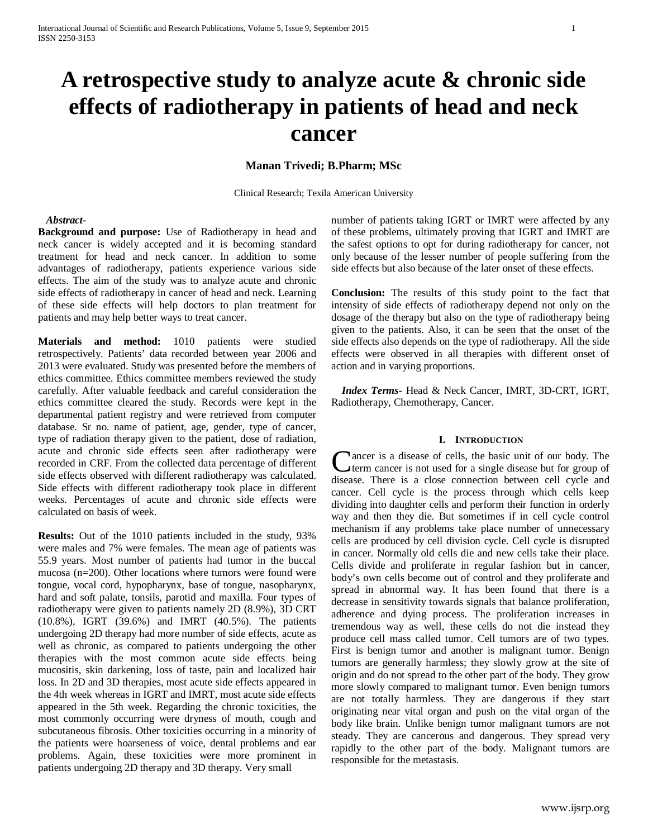# **A retrospective study to analyze acute & chronic side effects of radiotherapy in patients of head and neck cancer**

# **Manan Trivedi; B.Pharm; MSc**

Clinical Research; Texila American University

#### *Abstract***-**

**Background and purpose:** Use of Radiotherapy in head and neck cancer is widely accepted and it is becoming standard treatment for head and neck cancer. In addition to some advantages of radiotherapy, patients experience various side effects. The aim of the study was to analyze acute and chronic side effects of radiotherapy in cancer of head and neck. Learning of these side effects will help doctors to plan treatment for patients and may help better ways to treat cancer.

**Materials and method:** 1010 patients were studied retrospectively. Patients' data recorded between year 2006 and 2013 were evaluated. Study was presented before the members of ethics committee. Ethics committee members reviewed the study carefully. After valuable feedback and careful consideration the ethics committee cleared the study. Records were kept in the departmental patient registry and were retrieved from computer database. Sr no. name of patient, age, gender, type of cancer, type of radiation therapy given to the patient, dose of radiation, acute and chronic side effects seen after radiotherapy were recorded in CRF. From the collected data percentage of different side effects observed with different radiotherapy was calculated. Side effects with different radiotherapy took place in different weeks. Percentages of acute and chronic side effects were calculated on basis of week.

**Results:** Out of the 1010 patients included in the study, 93% were males and 7% were females. The mean age of patients was 55.9 years. Most number of patients had tumor in the buccal mucosa (n=200). Other locations where tumors were found were tongue, vocal cord, hypopharynx, base of tongue, nasopharynx, hard and soft palate, tonsils, parotid and maxilla. Four types of radiotherapy were given to patients namely 2D (8.9%), 3D CRT (10.8%), IGRT (39.6%) and IMRT (40.5%). The patients undergoing 2D therapy had more number of side effects, acute as well as chronic, as compared to patients undergoing the other therapies with the most common acute side effects being mucositis, skin darkening, loss of taste, pain and localized hair loss. In 2D and 3D therapies, most acute side effects appeared in the 4th week whereas in IGRT and IMRT, most acute side effects appeared in the 5th week. Regarding the chronic toxicities, the most commonly occurring were dryness of mouth, cough and subcutaneous fibrosis. Other toxicities occurring in a minority of the patients were hoarseness of voice, dental problems and ear problems. Again, these toxicities were more prominent in patients undergoing 2D therapy and 3D therapy. Very small

number of patients taking IGRT or IMRT were affected by any of these problems, ultimately proving that IGRT and IMRT are the safest options to opt for during radiotherapy for cancer, not only because of the lesser number of people suffering from the side effects but also because of the later onset of these effects.

**Conclusion:** The results of this study point to the fact that intensity of side effects of radiotherapy depend not only on the dosage of the therapy but also on the type of radiotherapy being given to the patients. Also, it can be seen that the onset of the side effects also depends on the type of radiotherapy. All the side effects were observed in all therapies with different onset of action and in varying proportions.

 *Index Terms*- Head & Neck Cancer, IMRT, 3D-CRT, IGRT, Radiotherapy, Chemotherapy, Cancer.

### **I. INTRODUCTION**

ancer is a disease of cells, the basic unit of our body. The term cancer is not used for a single disease but for group of Cancer is a disease of cells, the basic unit of our body. The term cancer is not used for a single disease but for group of disease. There is a close connection between cell cycle and cancer. Cell cycle is the process through which cells keep dividing into daughter cells and perform their function in orderly way and then they die. But sometimes if in cell cycle control mechanism if any problems take place number of unnecessary cells are produced by cell division cycle. Cell cycle is disrupted in cancer. Normally old cells die and new cells take their place. Cells divide and proliferate in regular fashion but in cancer, body's own cells become out of control and they proliferate and spread in abnormal way. It has been found that there is a decrease in sensitivity towards signals that balance proliferation, adherence and dying process. The proliferation increases in tremendous way as well, these cells do not die instead they produce cell mass called tumor. Cell tumors are of two types. First is benign tumor and another is malignant tumor. Benign tumors are generally harmless; they slowly grow at the site of origin and do not spread to the other part of the body. They grow more slowly compared to malignant tumor. Even benign tumors are not totally harmless. They are dangerous if they start originating near vital organ and push on the vital organ of the body like brain. Unlike benign tumor malignant tumors are not steady. They are cancerous and dangerous. They spread very rapidly to the other part of the body. Malignant tumors are responsible for the metastasis.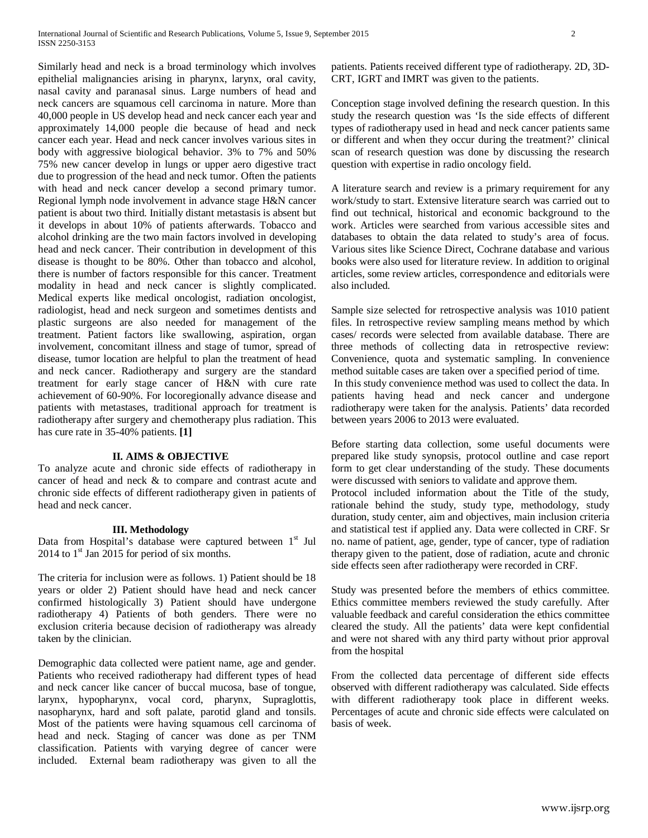Similarly head and neck is a broad terminology which involves epithelial malignancies arising in pharynx, larynx, oral cavity, nasal cavity and paranasal sinus. Large numbers of head and neck cancers are squamous cell carcinoma in nature. More than 40,000 people in US develop head and neck cancer each year and approximately 14,000 people die because of head and neck cancer each year. Head and neck cancer involves various sites in body with aggressive biological behavior. 3% to 7% and 50% 75% new cancer develop in lungs or upper aero digestive tract due to progression of the head and neck tumor. Often the patients with head and neck cancer develop a second primary tumor. Regional lymph node involvement in advance stage H&N cancer patient is about two third. Initially distant metastasis is absent but it develops in about 10% of patients afterwards. Tobacco and alcohol drinking are the two main factors involved in developing head and neck cancer. Their contribution in development of this disease is thought to be 80%. Other than tobacco and alcohol, there is number of factors responsible for this cancer. Treatment modality in head and neck cancer is slightly complicated. Medical experts like medical oncologist, radiation oncologist, radiologist, head and neck surgeon and sometimes dentists and plastic surgeons are also needed for management of the treatment. Patient factors like swallowing, aspiration, organ involvement, concomitant illness and stage of tumor, spread of disease, tumor location are helpful to plan the treatment of head and neck cancer. Radiotherapy and surgery are the standard treatment for early stage cancer of H&N with cure rate achievement of 60-90%. For locoregionally advance disease and patients with metastases, traditional approach for treatment is radiotherapy after surgery and chemotherapy plus radiation. This has cure rate in 35-40% patients. **[1]**

# **II. AIMS & OBJECTIVE**

To analyze acute and chronic side effects of radiotherapy in cancer of head and neck & to compare and contrast acute and chronic side effects of different radiotherapy given in patients of head and neck cancer.

### **III. Methodology**

Data from Hospital's database were captured between  $1<sup>st</sup>$  Jul  $2014$  to  $1<sup>st</sup>$  Jan 2015 for period of six months.

The criteria for inclusion were as follows. 1) Patient should be 18 years or older 2) Patient should have head and neck cancer confirmed histologically 3) Patient should have undergone radiotherapy 4) Patients of both genders. There were no exclusion criteria because decision of radiotherapy was already taken by the clinician.

Demographic data collected were patient name, age and gender. Patients who received radiotherapy had different types of head and neck cancer like cancer of buccal mucosa, base of tongue, larynx, hypopharynx, vocal cord, pharynx, Supraglottis, nasopharynx, hard and soft palate, parotid gland and tonsils. Most of the patients were having squamous cell carcinoma of head and neck. Staging of cancer was done as per TNM classification. Patients with varying degree of cancer were included. External beam radiotherapy was given to all the patients. Patients received different type of radiotherapy. 2D, 3D-CRT, IGRT and IMRT was given to the patients.

Conception stage involved defining the research question. In this study the research question was 'Is the side effects of different types of radiotherapy used in head and neck cancer patients same or different and when they occur during the treatment?' clinical scan of research question was done by discussing the research question with expertise in radio oncology field.

A literature search and review is a primary requirement for any work/study to start. Extensive literature search was carried out to find out technical, historical and economic background to the work. Articles were searched from various accessible sites and databases to obtain the data related to study's area of focus. Various sites like Science Direct, Cochrane database and various books were also used for literature review. In addition to original articles, some review articles, correspondence and editorials were also included.

Sample size selected for retrospective analysis was 1010 patient files. In retrospective review sampling means method by which cases/ records were selected from available database. There are three methods of collecting data in retrospective review: Convenience, quota and systematic sampling. In convenience method suitable cases are taken over a specified period of time. In this study convenience method was used to collect the data. In

patients having head and neck cancer and undergone radiotherapy were taken for the analysis. Patients' data recorded between years 2006 to 2013 were evaluated.

Before starting data collection, some useful documents were prepared like study synopsis, protocol outline and case report form to get clear understanding of the study. These documents were discussed with seniors to validate and approve them. Protocol included information about the Title of the study, rationale behind the study, study type, methodology, study duration, study center, aim and objectives, main inclusion criteria and statistical test if applied any. Data were collected in CRF. Sr no. name of patient, age, gender, type of cancer, type of radiation therapy given to the patient, dose of radiation, acute and chronic side effects seen after radiotherapy were recorded in CRF.

Study was presented before the members of ethics committee. Ethics committee members reviewed the study carefully. After valuable feedback and careful consideration the ethics committee cleared the study. All the patients' data were kept confidential and were not shared with any third party without prior approval from the hospital

From the collected data percentage of different side effects observed with different radiotherapy was calculated. Side effects with different radiotherapy took place in different weeks. Percentages of acute and chronic side effects were calculated on basis of week.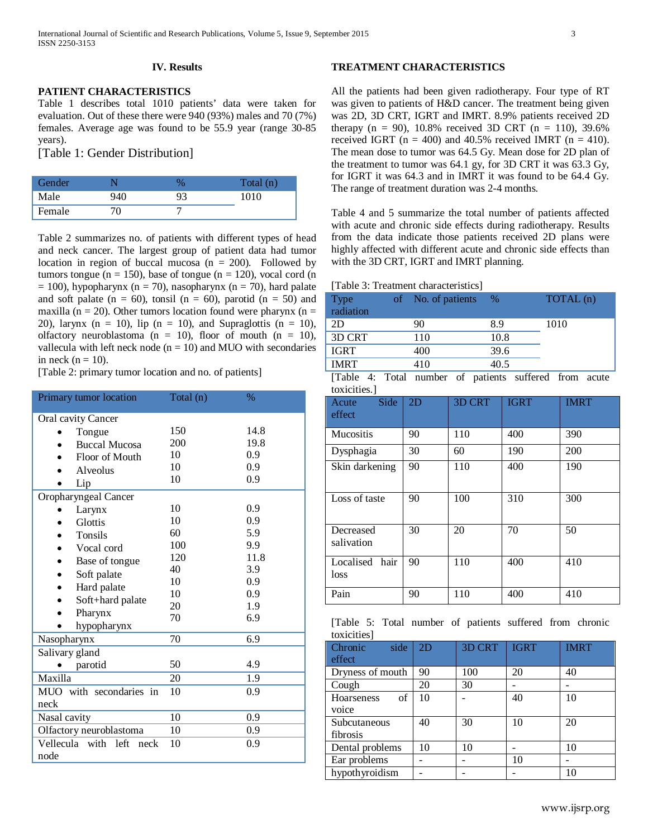# **IV. Results**

# **PATIENT CHARACTERISTICS**

Table 1 describes total 1010 patients' data were taken for evaluation. Out of these there were 940 (93%) males and 70 (7%) females. Average age was found to be 55.9 year (range 30-85 years).

[Table 1: Gender Distribution]

| Gender |     |    | Total (n) |
|--------|-----|----|-----------|
| Male   | 940 | 93 | 1010      |
| Female |     |    |           |

Table 2 summarizes no. of patients with different types of head and neck cancer. The largest group of patient data had tumor location in region of buccal mucosa ( $n = 200$ ). Followed by tumors tongue ( $n = 150$ ), base of tongue ( $n = 120$ ), vocal cord (n  $= 100$ ), hypopharynx (n = 70), nasopharynx (n = 70), hard palate and soft palate ( $n = 60$ ), tonsil ( $n = 60$ ), parotid ( $n = 50$ ) and maxilla (n = 20). Other tumors location found were pharynx (n = 20), larynx (n = 10), lip (n = 10), and Supraglottis (n = 10), olfactory neuroblastoma ( $n = 10$ ), floor of mouth ( $n = 10$ ), vallecula with left neck node  $(n = 10)$  and MUO with secondaries in neck  $(n = 10)$ .

[Table 2: primary tumor location and no. of patients]

| Primary tumor location              | Total (n) | $\%$ |
|-------------------------------------|-----------|------|
| Oral cavity Cancer                  |           |      |
| Tongue                              | 150       | 14.8 |
| <b>Buccal Mucosa</b>                | 200       | 19.8 |
| Floor of Mouth                      | 10        | 0.9  |
| Alveolus                            | 10        | 0.9  |
| Lip                                 | 10        | 0.9  |
| Oropharyngeal Cancer                |           |      |
| Larynx                              | 10        | 0.9  |
| Glottis                             | 10        | 0.9  |
| Tonsils                             | 60        | 5.9  |
| Vocal cord                          | 100       | 9.9  |
| Base of tongue                      | 120       | 11.8 |
| Soft palate                         | 40        | 3.9  |
| Hard palate                         | 10        | 0.9  |
| Soft+hard palate                    | 10        | 0.9  |
| Pharynx                             | 20        | 1.9  |
| hypopharynx                         | 70        | 6.9  |
| Nasopharynx                         | 70        | 6.9  |
| Salivary gland                      |           |      |
| parotid                             | 50        | 4.9  |
| Maxilla                             | 20        | 1.9  |
| MUO with secondaries in             | 10        | 0.9  |
| neck                                |           |      |
| Nasal cavity                        | 10        | 0.9  |
| Olfactory neuroblastoma             | 10        | 0.9  |
| Vellecula with left<br>neck<br>node | 10        | 0.9  |

# **TREATMENT CHARACTERISTICS**

All the patients had been given radiotherapy. Four type of RT was given to patients of H&D cancer. The treatment being given was 2D, 3D CRT, IGRT and IMRT. 8.9% patients received 2D therapy  $(n = 90)$ , 10.8% received 3D CRT  $(n = 110)$ , 39.6% received IGRT ( $n = 400$ ) and 40.5% received IMRT ( $n = 410$ ). The mean dose to tumor was 64.5 Gy. Mean dose for 2D plan of the treatment to tumor was 64.1 gy, for 3D CRT it was 63.3 Gy, for IGRT it was 64.3 and in IMRT it was found to be 64.4 Gy. The range of treatment duration was 2-4 months.

Table 4 and 5 summarize the total number of patients affected with acute and chronic side effects during radiotherapy. Results from the data indicate those patients received 2D plans were highly affected with different acute and chronic side effects than with the 3D CRT, IGRT and IMRT planning.

| [Table 3: Treatment characteristics] |  |
|--------------------------------------|--|
|--------------------------------------|--|

| Type<br>radiation             | of No. of patients | $\%$   | TOTAL (n) |
|-------------------------------|--------------------|--------|-----------|
| 2D                            | 90                 | 8.9    | 1010      |
| 3D CRT                        | 110                | 10.8   |           |
| IGRT                          | 400                | 39.6   |           |
| <b>IMRT</b>                   | 410                | 40.5   |           |
| .<br>$\overline{\phantom{a}}$ | $\sim$<br>. .      | $\sim$ | .         |

[Table 4: Total number of patients suffered from acute toxicities.]

| Side<br>Acute<br>effect   | 2D | <b>3D CRT</b> | <b>IGRT</b> | <b>IMRT</b> |
|---------------------------|----|---------------|-------------|-------------|
| Mucositis                 | 90 | 110           | 400         | 390         |
| Dysphagia                 | 30 | 60            | 190         | 200         |
| Skin darkening            | 90 | 110           | 400         | 190         |
| Loss of taste             | 90 | 100           | 310         | 300         |
| Decreased<br>salivation   | 30 | 20            | 70          | 50          |
| Localised<br>hair<br>loss | 90 | 110           | 400         | 410         |
| Pain                      | 90 | 110           | 400         | 410         |

|             |  |  | [Table 5: Total number of patients suffered from chronic |  |
|-------------|--|--|----------------------------------------------------------|--|
| toxicities] |  |  |                                                          |  |

| side<br>Chronic  | 2D | 3D CRT | <b>IGRT</b> | <b>IMRT</b> |
|------------------|----|--------|-------------|-------------|
| effect           |    |        |             |             |
| Dryness of mouth | 90 | 100    | 20          | 40          |
| Cough            | 20 | 30     |             |             |
| of<br>Hoarseness | 10 |        | 40          | 10          |
| voice            |    |        |             |             |
| Subcutaneous     | 40 | 30     | 10          | 20          |
| fibrosis         |    |        |             |             |
| Dental problems  | 10 | 10     |             | 10          |
| Ear problems     |    |        | 10          |             |
| hypothyroidism   |    |        |             |             |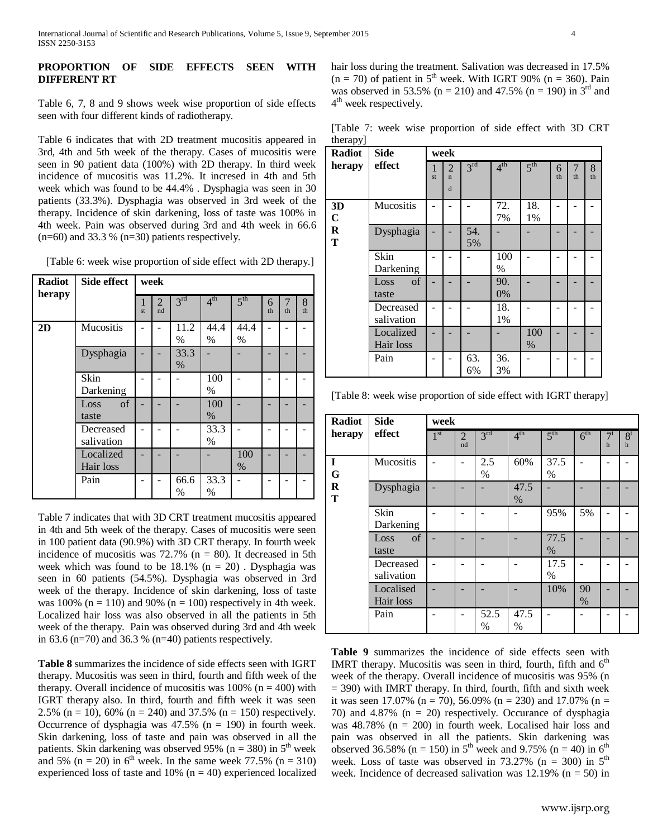# **PROPORTION OF SIDE EFFECTS SEEN WITH DIFFERENT RT**

Table 6, 7, 8 and 9 shows week wise proportion of side effects seen with four different kinds of radiotherapy.

Table 6 indicates that with 2D treatment mucositis appeared in 3rd, 4th and 5th week of the therapy. Cases of mucositis were seen in 90 patient data (100%) with 2D therapy. In third week incidence of mucositis was 11.2%. It incresed in 4th and 5th week which was found to be 44.4% . Dysphagia was seen in 30 patients (33.3%). Dysphagia was observed in 3rd week of the therapy. Incidence of skin darkening, loss of taste was 100% in 4th week. Pain was observed during 3rd and 4th week in 66.6  $(n=60)$  and 33.3 %  $(n=30)$  patients respectively.

| Radiot<br>herapy | Side effect             | week    |                      |                 |                 |                 |         |         |         |
|------------------|-------------------------|---------|----------------------|-----------------|-----------------|-----------------|---------|---------|---------|
|                  |                         | 1<br>st | $\overline{2}$<br>nd | 3 <sup>rd</sup> | 4 <sup>th</sup> | $5^{\text{th}}$ | 6<br>th | 7<br>th | 8<br>th |
| 2D               | Mucositis               |         |                      | 11.2<br>$\%$    | 44.4<br>$\%$    | 44.4<br>$\%$    |         |         |         |
|                  | Dysphagia               |         |                      | 33.3<br>$\%$    |                 |                 |         |         |         |
|                  | Skin<br>Darkening       |         |                      |                 | 100<br>$\%$     |                 |         |         |         |
|                  | of<br>Loss<br>taste     |         |                      |                 | 100<br>$\%$     |                 |         |         |         |
|                  | Decreased<br>salivation |         |                      |                 | 33.3<br>$\%$    |                 |         |         |         |
|                  | Localized<br>Hair loss  |         |                      |                 |                 | 100<br>$\%$     |         |         |         |
|                  | Pain                    |         |                      | 66.6<br>$\%$    | 33.3<br>$\%$    |                 |         |         |         |

Table 7 indicates that with 3D CRT treatment mucositis appeared in 4th and 5th week of the therapy. Cases of mucositis were seen in 100 patient data (90.9%) with 3D CRT therapy. In fourth week incidence of mucositis was  $72.7\%$  (n = 80). It decreased in 5th week which was found to be  $18.1\%$  (n = 20). Dysphagia was seen in 60 patients (54.5%). Dysphagia was observed in 3rd week of the therapy. Incidence of skin darkening, loss of taste was 100% ( $n = 110$ ) and 90% ( $n = 100$ ) respectively in 4th week. Localized hair loss was also observed in all the patients in 5th week of the therapy. Pain was observed during 3rd and 4th week in 63.6 (n=70) and 36.3 % (n=40) patients respectively.

**Table 8** summarizes the incidence of side effects seen with IGRT therapy. Mucositis was seen in third, fourth and fifth week of the therapy. Overall incidence of mucositis was  $100\%$  (n = 400) with IGRT therapy also. In third, fourth and fifth week it was seen 2.5% (n = 10), 60% (n = 240) and 37.5% (n = 150) respectively. Occurrence of dysphagia was  $47.5\%$  (n = 190) in fourth week. Skin darkening, loss of taste and pain was observed in all the patients. Skin darkening was observed 95% (n = 380) in  $5<sup>th</sup>$  week and 5% (n = 20) in 6<sup>th</sup> week. In the same week 77.5% (n = 310) experienced loss of taste and 10% ( $n = 40$ ) experienced localized hair loss during the treatment. Salivation was decreased in 17.5%  $(n = 70)$  of patient in 5<sup>th</sup> week. With IGRT 90%  $(n = 360)$ . Pain was observed in 53.5% (n = 210) and 47.5% (n = 190) in  $3<sup>rd</sup>$  and 4<sup>th</sup> week respectively.

[Table 7: week wise proportion of side effect with 3D CRT therapyl

| 1 J -<br><b>Radiot</b> | <b>Side</b>             |         | week                                           |                 |                 |                 |         |         |         |
|------------------------|-------------------------|---------|------------------------------------------------|-----------------|-----------------|-----------------|---------|---------|---------|
| herapy                 | effect                  | 1<br>st | $\overline{2}$<br>$\mathbf{n}$<br>$\mathbf{d}$ | 3 <sup>rd</sup> | $4^{\text{th}}$ | 5 <sup>th</sup> | 6<br>th | 7<br>th | 8<br>th |
| 3D<br>$\mathbf C$      | Mucositis               |         |                                                |                 | 72.<br>7%       | 18.<br>1%       |         |         |         |
| $\mathbf R$<br>T       | Dysphagia               |         |                                                | 54.<br>5%       |                 |                 |         |         |         |
|                        | Skin<br>Darkening       |         |                                                |                 | 100<br>$\%$     |                 |         |         |         |
|                        | of<br>Loss<br>taste     |         |                                                |                 | 90.<br>0%       |                 |         |         |         |
|                        | Decreased<br>salivation |         |                                                |                 | 18.<br>1%       |                 |         |         |         |
|                        | Localized<br>Hair loss  |         |                                                |                 |                 | 100<br>$\%$     |         |         |         |
|                        | Pain                    |         |                                                | 63.<br>6%       | 36.<br>3%       |                 |         |         |         |

[Table 8: week wise proportion of side effect with IGRT therapy]

| <b>Radiot</b> | <b>Side</b>             | week            |                      |                 |                 |                 |                 |                      |                       |  |
|---------------|-------------------------|-----------------|----------------------|-----------------|-----------------|-----------------|-----------------|----------------------|-----------------------|--|
| herapy        | effect                  | 1 <sup>st</sup> | $\overline{2}$<br>nd | 3 <sup>rd</sup> | 4 <sup>th</sup> | 5 <sup>th</sup> | 6 <sup>th</sup> | $7^t$<br>$\mathbf h$ | 8 <sup>t</sup><br>$h$ |  |
| I<br>G        | Mucositis               |                 |                      | 2.5<br>$\%$     | 60%             | 37.5<br>$\%$    |                 |                      |                       |  |
| R<br>T        | Dysphagia               |                 |                      |                 | 47.5<br>$\%$    |                 |                 |                      |                       |  |
|               | Skin<br>Darkening       |                 |                      |                 |                 | 95%             | 5%              |                      |                       |  |
|               | of<br>Loss<br>taste     |                 |                      |                 |                 | 77.5<br>$\%$    |                 |                      |                       |  |
|               | Decreased<br>salivation |                 |                      |                 |                 | 17.5<br>$\%$    |                 |                      |                       |  |
|               | Localised<br>Hair loss  |                 |                      |                 |                 | 10%             | 90<br>$\%$      |                      |                       |  |
|               | Pain                    |                 |                      | 52.5<br>$\%$    | 47.5<br>$\%$    |                 |                 |                      |                       |  |

**Table 9** summarizes the incidence of side effects seen with IMRT therapy. Mucositis was seen in third, fourth, fifth and  $6<sup>th</sup>$ week of the therapy. Overall incidence of mucositis was 95% (n  $=$  390) with IMRT therapy. In third, fourth, fifth and sixth week it was seen 17.07% (n = 70), 56.09% (n = 230) and 17.07% (n = 70) and 4.87% (n = 20) respectively. Occurance of dysphagia was  $48.78\%$  (n = 200) in fourth week. Localised hair loss and pain was observed in all the patients. Skin darkening was observed 36.58% (n = 150) in 5<sup>th</sup> week and 9.75% (n = 40) in 6<sup>th</sup> week. Loss of taste was observed in  $73.27\%$  (n = 300) in  $5<sup>th</sup>$ week. Incidence of decreased salivation was  $12.19\%$  (n = 50) in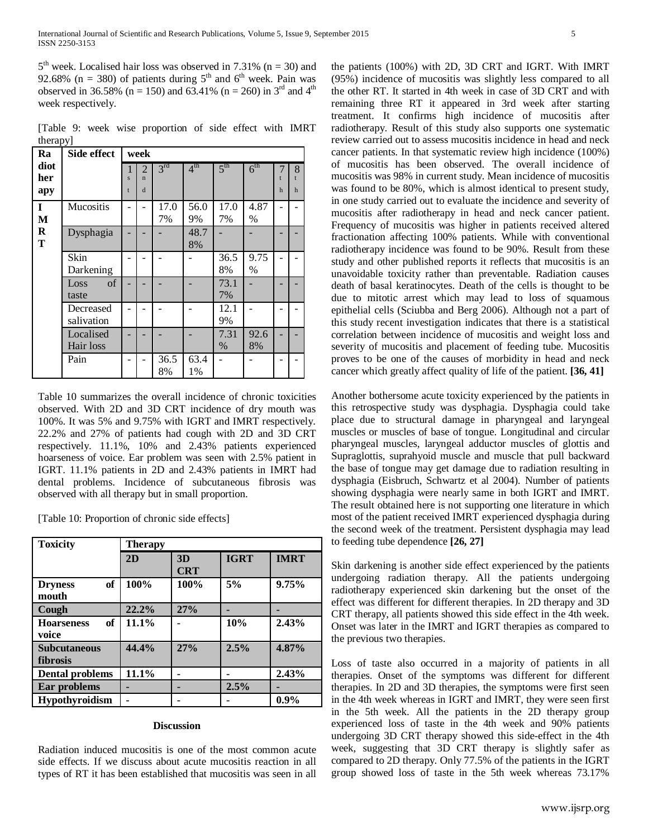$5<sup>th</sup>$  week. Localised hair loss was observed in 7.31% (n = 30) and 92.68% (n = 380) of patients during  $5<sup>th</sup>$  and  $6<sup>th</sup>$  week. Pain was observed in 36.58% (n = 150) and 63.41% (n = 260) in  $3<sup>rd</sup>$  and  $4<sup>th</sup>$ week respectively.

[Table 9: week wise proportion of side effect with IMRT therapy]

| Ra                 | Side effect             |        | week                                          |                 |                 |                 |                 |                   |                        |
|--------------------|-------------------------|--------|-----------------------------------------------|-----------------|-----------------|-----------------|-----------------|-------------------|------------------------|
| diot<br>her<br>apy |                         | S<br>t | $\mathfrak{D}$<br>$\mathbf{n}$<br>$\mathbf d$ | 3 <sup>rd</sup> | 4 <sup>th</sup> | 5 <sup>th</sup> | 6 <sup>th</sup> | $\mathsf{t}$<br>h | 8<br>t<br>$\mathbf{h}$ |
| $\mathbf I$<br>M   | Mucositis               |        |                                               | 17.0<br>7%      | 56.0<br>9%      | 17.0<br>7%      | 4.87<br>$\%$    |                   |                        |
| R<br>T             | Dysphagia               |        |                                               |                 | 48.7<br>8%      |                 |                 |                   |                        |
|                    | Skin<br>Darkening       |        |                                               |                 |                 | 36.5<br>8%      | 9.75<br>$\%$    |                   |                        |
|                    | of<br>Loss<br>taste     |        |                                               |                 |                 | 73.1<br>7%      |                 |                   |                        |
|                    | Decreased<br>salivation |        |                                               |                 |                 | 12.1<br>9%      |                 |                   |                        |
|                    | Localised<br>Hair loss  |        |                                               |                 |                 | 7.31<br>$\%$    | 92.6<br>8%      |                   |                        |
|                    | Pain                    |        |                                               | 36.5<br>8%      | 63.4<br>1%      |                 |                 |                   |                        |

Table 10 summarizes the overall incidence of chronic toxicities observed. With 2D and 3D CRT incidence of dry mouth was 100%. It was 5% and 9.75% with IGRT and IMRT respectively. 22.2% and 27% of patients had cough with 2D and 3D CRT respectively. 11.1%, 10% and 2.43% patients experienced hoarseness of voice. Ear problem was seen with 2.5% patient in IGRT. 11.1% patients in 2D and 2.43% patients in IMRT had dental problems. Incidence of subcutaneous fibrosis was observed with all therapy but in small proportion.

[Table 10: Proportion of chronic side effects]

| <b>Toxicity</b>                        | <b>Therapy</b> |                  |             |             |
|----------------------------------------|----------------|------------------|-------------|-------------|
|                                        | 2D             | 3D<br><b>CRT</b> | <b>IGRT</b> | <b>IMRT</b> |
| of<br><b>Dryness</b><br>mouth          | 100%           | 100%             | 5%          | 9.75%       |
| Cough                                  | 22.2%          | 27%              |             |             |
| of<br><b>Hoarseness</b><br>voice       | 11.1%          |                  | 10%         | 2.43%       |
| <b>Subcutaneous</b><br><b>fibrosis</b> | 44.4%          | 27%              | 2.5%        | 4.87%       |
| <b>Dental problems</b>                 | 11.1%          |                  |             | 2.43%       |
| Ear problems                           |                |                  | 2.5%        |             |
| <b>Hypothyroidism</b>                  |                |                  |             | 0.9%        |

#### **Discussion**

Radiation induced mucositis is one of the most common acute side effects. If we discuss about acute mucositis reaction in all types of RT it has been established that mucositis was seen in all the patients (100%) with 2D, 3D CRT and IGRT. With IMRT (95%) incidence of mucositis was slightly less compared to all the other RT. It started in 4th week in case of 3D CRT and with remaining three RT it appeared in 3rd week after starting treatment. It confirms high incidence of mucositis after radiotherapy. Result of this study also supports one systematic review carried out to assess mucositis incidence in head and neck cancer patients. In that systematic review high incidence (100%) of mucositis has been observed. The overall incidence of mucositis was 98% in current study. Mean incidence of mucositis was found to be 80%, which is almost identical to present study, in one study carried out to evaluate the incidence and severity of mucositis after radiotherapy in head and neck cancer patient. Frequency of mucositis was higher in patients received altered fractionation affecting 100% patients. While with conventional radiotherapy incidence was found to be 90%. Result from these study and other published reports it reflects that mucositis is an unavoidable toxicity rather than preventable. Radiation causes death of basal keratinocytes. Death of the cells is thought to be due to mitotic arrest which may lead to loss of squamous epithelial cells (Sciubba and Berg 2006). Although not a part of this study recent investigation indicates that there is a statistical correlation between incidence of mucositis and weight loss and severity of mucositis and placement of feeding tube. Mucositis proves to be one of the causes of morbidity in head and neck cancer which greatly affect quality of life of the patient. **[36, 41]**

Another bothersome acute toxicity experienced by the patients in this retrospective study was dysphagia. Dysphagia could take place due to structural damage in pharyngeal and laryngeal muscles or muscles of base of tongue. Longitudinal and circular pharyngeal muscles, laryngeal adductor muscles of glottis and Supraglottis, suprahyoid muscle and muscle that pull backward the base of tongue may get damage due to radiation resulting in dysphagia (Eisbruch, Schwartz et al 2004). Number of patients showing dysphagia were nearly same in both IGRT and IMRT. The result obtained here is not supporting one literature in which most of the patient received IMRT experienced dysphagia during the second week of the treatment. Persistent dysphagia may lead to feeding tube dependence **[26, 27]**

Skin darkening is another side effect experienced by the patients undergoing radiation therapy. All the patients undergoing radiotherapy experienced skin darkening but the onset of the effect was different for different therapies. In 2D therapy and 3D CRT therapy, all patients showed this side effect in the 4th week. Onset was later in the IMRT and IGRT therapies as compared to the previous two therapies.

Loss of taste also occurred in a majority of patients in all therapies. Onset of the symptoms was different for different therapies. In 2D and 3D therapies, the symptoms were first seen in the 4th week whereas in IGRT and IMRT, they were seen first in the 5th week. All the patients in the 2D therapy group experienced loss of taste in the 4th week and 90% patients undergoing 3D CRT therapy showed this side-effect in the 4th week, suggesting that 3D CRT therapy is slightly safer as compared to 2D therapy. Only 77.5% of the patients in the IGRT group showed loss of taste in the 5th week whereas 73.17%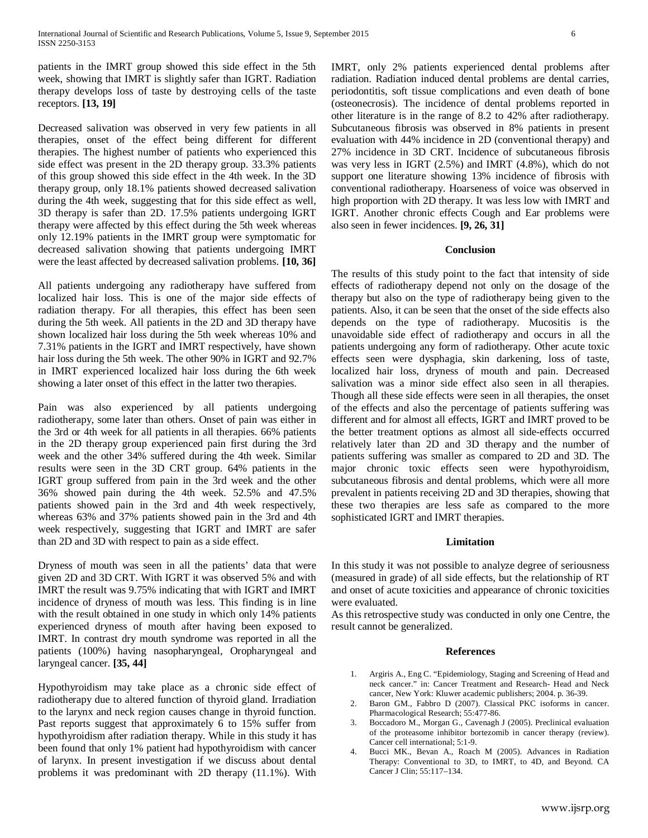patients in the IMRT group showed this side effect in the 5th week, showing that IMRT is slightly safer than IGRT. Radiation therapy develops loss of taste by destroying cells of the taste receptors. **[13, 19]**

Decreased salivation was observed in very few patients in all therapies, onset of the effect being different for different therapies. The highest number of patients who experienced this side effect was present in the 2D therapy group. 33.3% patients of this group showed this side effect in the 4th week. In the 3D therapy group, only 18.1% patients showed decreased salivation during the 4th week, suggesting that for this side effect as well, 3D therapy is safer than 2D. 17.5% patients undergoing IGRT therapy were affected by this effect during the 5th week whereas only 12.19% patients in the IMRT group were symptomatic for decreased salivation showing that patients undergoing IMRT were the least affected by decreased salivation problems. **[10, 36]**

All patients undergoing any radiotherapy have suffered from localized hair loss. This is one of the major side effects of radiation therapy. For all therapies, this effect has been seen during the 5th week. All patients in the 2D and 3D therapy have shown localized hair loss during the 5th week whereas 10% and 7.31% patients in the IGRT and IMRT respectively, have shown hair loss during the 5th week. The other 90% in IGRT and 92.7% in IMRT experienced localized hair loss during the 6th week showing a later onset of this effect in the latter two therapies.

Pain was also experienced by all patients undergoing radiotherapy, some later than others. Onset of pain was either in the 3rd or 4th week for all patients in all therapies. 66% patients in the 2D therapy group experienced pain first during the 3rd week and the other 34% suffered during the 4th week. Similar results were seen in the 3D CRT group. 64% patients in the IGRT group suffered from pain in the 3rd week and the other 36% showed pain during the 4th week. 52.5% and 47.5% patients showed pain in the 3rd and 4th week respectively, whereas 63% and 37% patients showed pain in the 3rd and 4th week respectively, suggesting that IGRT and IMRT are safer than 2D and 3D with respect to pain as a side effect.

Dryness of mouth was seen in all the patients' data that were given 2D and 3D CRT. With IGRT it was observed 5% and with IMRT the result was 9.75% indicating that with IGRT and IMRT incidence of dryness of mouth was less. This finding is in line with the result obtained in one study in which only 14% patients experienced dryness of mouth after having been exposed to IMRT. In contrast dry mouth syndrome was reported in all the patients (100%) having nasopharyngeal, Oropharyngeal and laryngeal cancer. **[35, 44]**

Hypothyroidism may take place as a chronic side effect of radiotherapy due to altered function of thyroid gland. Irradiation to the larynx and neck region causes change in thyroid function. Past reports suggest that approximately 6 to 15% suffer from hypothyroidism after radiation therapy. While in this study it has been found that only 1% patient had hypothyroidism with cancer of larynx. In present investigation if we discuss about dental problems it was predominant with 2D therapy (11.1%). With

IMRT, only 2% patients experienced dental problems after radiation. Radiation induced dental problems are dental carries, periodontitis, soft tissue complications and even death of bone (osteonecrosis). The incidence of dental problems reported in other literature is in the range of 8.2 to 42% after radiotherapy. Subcutaneous fibrosis was observed in 8% patients in present evaluation with 44% incidence in 2D (conventional therapy) and 27% incidence in 3D CRT. Incidence of subcutaneous fibrosis was very less in IGRT (2.5%) and IMRT (4.8%), which do not support one literature showing 13% incidence of fibrosis with conventional radiotherapy. Hoarseness of voice was observed in high proportion with 2D therapy. It was less low with IMRT and IGRT. Another chronic effects Cough and Ear problems were also seen in fewer incidences. **[9, 26, 31]**

## **Conclusion**

The results of this study point to the fact that intensity of side effects of radiotherapy depend not only on the dosage of the therapy but also on the type of radiotherapy being given to the patients. Also, it can be seen that the onset of the side effects also depends on the type of radiotherapy. Mucositis is the unavoidable side effect of radiotherapy and occurs in all the patients undergoing any form of radiotherapy. Other acute toxic effects seen were dysphagia, skin darkening, loss of taste, localized hair loss, dryness of mouth and pain. Decreased salivation was a minor side effect also seen in all therapies. Though all these side effects were seen in all therapies, the onset of the effects and also the percentage of patients suffering was different and for almost all effects, IGRT and IMRT proved to be the better treatment options as almost all side-effects occurred relatively later than 2D and 3D therapy and the number of patients suffering was smaller as compared to 2D and 3D. The major chronic toxic effects seen were hypothyroidism, subcutaneous fibrosis and dental problems, which were all more prevalent in patients receiving 2D and 3D therapies, showing that these two therapies are less safe as compared to the more sophisticated IGRT and IMRT therapies.

### **Limitation**

In this study it was not possible to analyze degree of seriousness (measured in grade) of all side effects, but the relationship of RT and onset of acute toxicities and appearance of chronic toxicities were evaluated.

As this retrospective study was conducted in only one Centre, the result cannot be generalized.

### **References**

- 1. Argiris A., Eng C. "Epidemiology, Staging and Screening of Head and neck cancer." in: Cancer Treatment and Research- Head and Neck cancer, New York: Kluwer academic publishers; 2004. p. 36-39.
- 2. Baron GM., Fabbro D (2007). Classical PKC isoforms in cancer. Pharmacological Research; 55:477-86.
- 3. Boccadoro M., Morgan G., Cavenagh J (2005). Preclinical evaluation of the proteasome inhibitor bortezomib in cancer therapy (review). Cancer cell international; 5:1-9.
- 4. Bucci MK., Bevan A., Roach M (2005). Advances in Radiation Therapy: Conventional to 3D, to IMRT, to 4D, and Beyond. CA Cancer J Clin; 55:117–134.